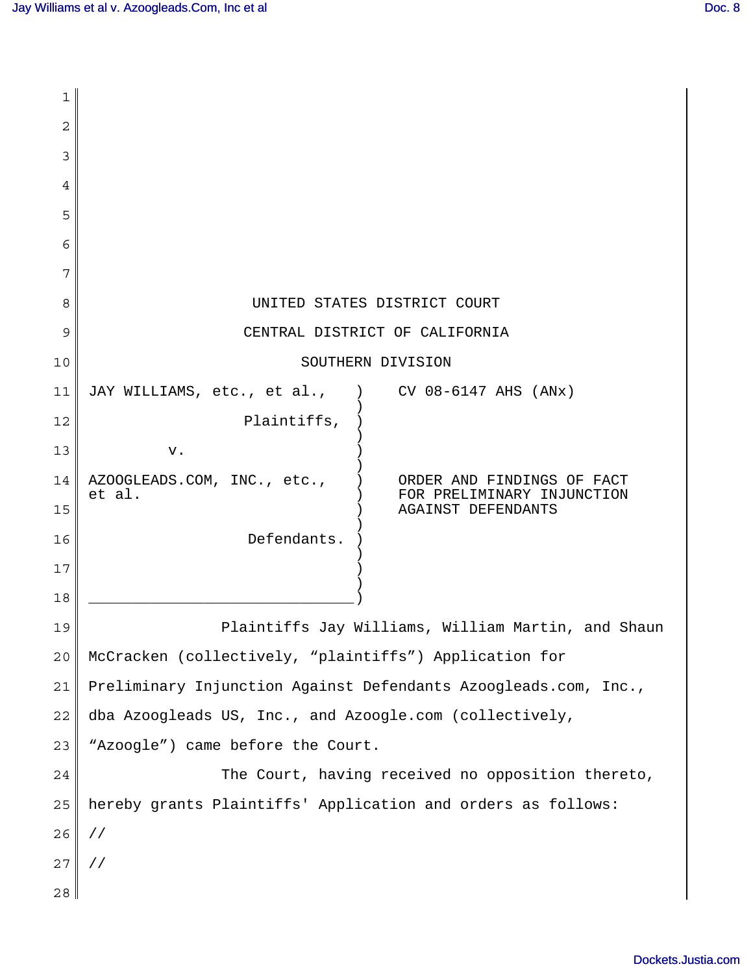| 1  |                                                                                                   |
|----|---------------------------------------------------------------------------------------------------|
| 2  |                                                                                                   |
| 3  |                                                                                                   |
| 4  |                                                                                                   |
| 5  |                                                                                                   |
| 6  |                                                                                                   |
| 7  |                                                                                                   |
| 8  | UNITED STATES DISTRICT COURT                                                                      |
| 9  | CENTRAL DISTRICT OF CALIFORNIA                                                                    |
| 10 | SOUTHERN DIVISION                                                                                 |
| 11 | CV 08-6147 AHS (ANx)<br>JAY WILLIAMS, etc., et al.,                                               |
| 12 | Plaintiffs,                                                                                       |
| 13 | v.                                                                                                |
| 14 | AZOOGLEADS.COM, INC., etc.,<br>ORDER AND FINDINGS OF FACT<br>et al.<br>FOR PRELIMINARY INJUNCTION |
| 15 | <b>AGAINST DEFENDANTS</b>                                                                         |
| 16 | Defendants.                                                                                       |
| 17 |                                                                                                   |
| 18 |                                                                                                   |
| 19 | Plaintiffs Jay Williams, William Martin, and Shaun                                                |
| 20 | McCracken (collectively, "plaintiffs") Application for                                            |
| 21 | Preliminary Injunction Against Defendants Azoogleads.com, Inc.,                                   |
| 22 | dba Azoogleads US, Inc., and Azoogle.com (collectively,                                           |
| 23 | "Azoogle") came before the Court.                                                                 |
| 24 | The Court, having received no opposition thereto,                                                 |
| 25 | hereby grants Plaintiffs' Application and orders as follows:                                      |
| 26 | $\frac{1}{2}$                                                                                     |
| 27 | $\frac{1}{2}$                                                                                     |
| 28 |                                                                                                   |